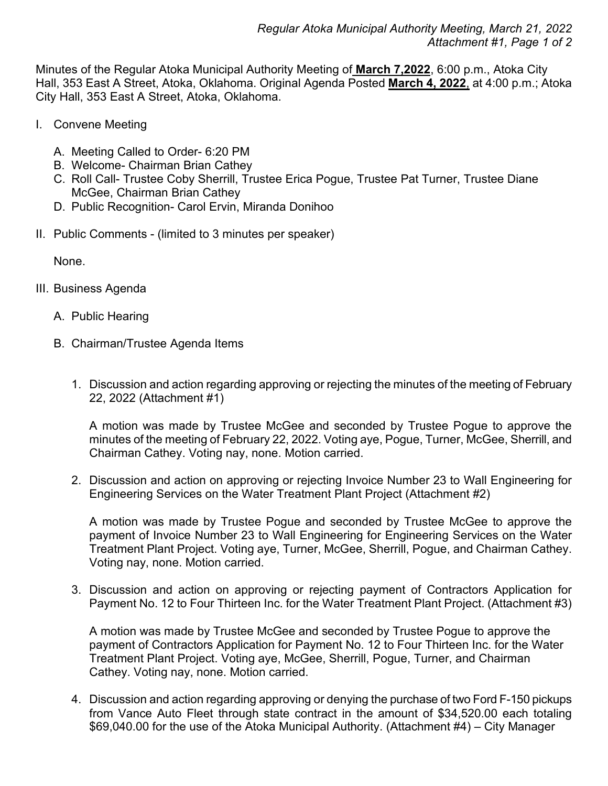Minutes of the Regular Atoka Municipal Authority Meeting of **March 7,2022**, 6:00 p.m., Atoka City Hall, 353 East A Street, Atoka, Oklahoma. Original Agenda Posted **March 4, 2022**, at 4:00 p.m.; Atoka City Hall, 353 East A Street, Atoka, Oklahoma.

- I. Convene Meeting
	- A. Meeting Called to Order- 6:20 PM
	- B. Welcome- Chairman Brian Cathey
	- C. Roll Call- Trustee Coby Sherrill, Trustee Erica Pogue, Trustee Pat Turner, Trustee Diane McGee, Chairman Brian Cathey
	- D. Public Recognition- Carol Ervin, Miranda Donihoo
- II. Public Comments (limited to 3 minutes per speaker)

None.

- III. Business Agenda
	- A. Public Hearing
	- B. Chairman/Trustee Agenda Items
		- 1. Discussion and action regarding approving or rejecting the minutes of the meeting of February 22, 2022 (Attachment #1)

A motion was made by Trustee McGee and seconded by Trustee Pogue to approve the minutes of the meeting of February 22, 2022. Voting aye, Pogue, Turner, McGee, Sherrill, and Chairman Cathey. Voting nay, none. Motion carried.

2. Discussion and action on approving or rejecting Invoice Number 23 to Wall Engineering for Engineering Services on the Water Treatment Plant Project (Attachment #2)

A motion was made by Trustee Pogue and seconded by Trustee McGee to approve the payment of Invoice Number 23 to Wall Engineering for Engineering Services on the Water Treatment Plant Project. Voting aye, Turner, McGee, Sherrill, Pogue, and Chairman Cathey. Voting nay, none. Motion carried.

3. Discussion and action on approving or rejecting payment of Contractors Application for Payment No. 12 to Four Thirteen Inc. for the Water Treatment Plant Project. (Attachment #3)

A motion was made by Trustee McGee and seconded by Trustee Pogue to approve the payment of Contractors Application for Payment No. 12 to Four Thirteen Inc. for the Water Treatment Plant Project. Voting aye, McGee, Sherrill, Pogue, Turner, and Chairman Cathey. Voting nay, none. Motion carried.

4. Discussion and action regarding approving or denying the purchase of two Ford F-150 pickups from Vance Auto Fleet through state contract in the amount of \$34,520.00 each totaling \$69,040.00 for the use of the Atoka Municipal Authority. (Attachment #4) – City Manager